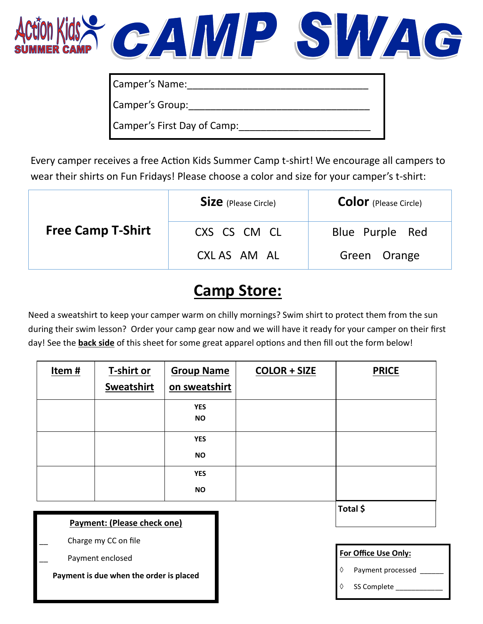

| Camper's Name:              |
|-----------------------------|
| Camper's Group:             |
| Camper's First Day of Camp: |

Every camper receives a free Action Kids Summer Camp t-shirt! We encourage all campers to wear their shirts on Fun Fridays! Please choose a color and size for your camper's t-shirt:

|                          | <b>Size</b> (Please Circle) | <b>Color</b> (Please Circle) |
|--------------------------|-----------------------------|------------------------------|
| <b>Free Camp T-Shirt</b> | CXS CS CM CL                | Blue Purple Red              |
|                          | CXL AS AM AL                | Green Orange                 |

## **Camp Store:**

Need a sweatshirt to keep your camper warm on chilly mornings? Swim shirt to protect them from the sun during their swim lesson? Order your camp gear now and we will have it ready for your camper on their first day! See the **back side** of this sheet for some great apparel options and then fill out the form below!

| Item# | T-shirt or<br><b>Sweatshirt</b> | <b>Group Name</b><br>on sweatshirt | <b>COLOR + SIZE</b> | <b>PRICE</b> |
|-------|---------------------------------|------------------------------------|---------------------|--------------|
|       |                                 | <b>YES</b><br><b>NO</b>            |                     |              |
|       |                                 | <b>YES</b><br><b>NO</b>            |                     |              |
|       |                                 | <b>YES</b><br><b>NO</b>            |                     |              |
|       |                                 |                                    |                     | Total \$     |

## **Payment: (Please check one)**

Charge my CC on file

Payment enclosed

**Payment is due when the order is placed**

**For Office Use Only:**

- Payment processed
- SS Complete